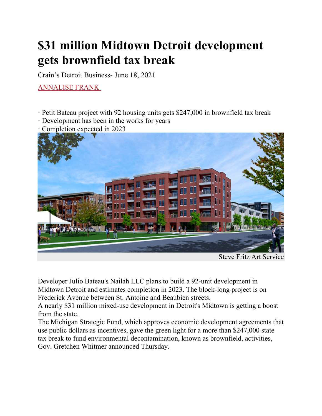## **\$31 million Midtown Detroit development gets brownfield tax break**

Crain's Detroit Business- June 18, 2021

ANNALISE FRANK

- ꞏ Petit Bateau project with 92 housing units gets \$247,000 in brownfield tax break
- ꞏ Development has been in the works for years
- ꞏ Completion expected in 2023



Steve Fritz Art Service

Developer Julio Bateau's Nailah LLC plans to build a 92-unit development in Midtown Detroit and estimates completion in 2023. The block-long project is on Frederick Avenue between St. Antoine and Beaubien streets.

A nearly \$31 million mixed-use development in Detroit's Midtown is getting a boost from the state.

The Michigan Strategic Fund, which approves economic development agreements that use public dollars as incentives, gave the green light for a more than \$247,000 state tax break to fund environmental decontamination, known as brownfield, activities, Gov. Gretchen Whitmer announced Thursday.